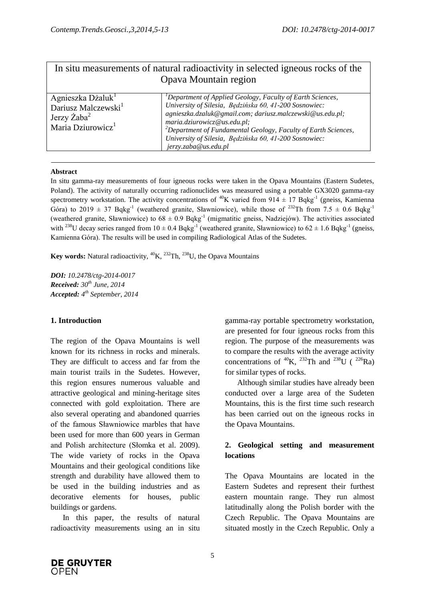|                                                                                                                         | In situ measurements of natural radioactivity in selected igneous rocks of the<br>Opava Mountain region                                                                                                                                                                                                                                                                                      |
|-------------------------------------------------------------------------------------------------------------------------|----------------------------------------------------------------------------------------------------------------------------------------------------------------------------------------------------------------------------------------------------------------------------------------------------------------------------------------------------------------------------------------------|
| Agnieszka Dżaluk <sup>1</sup><br>Dariusz Malczewski <sup>1</sup><br>Jerzy $\rm Zaba^2$<br>Maria Dziurowicz <sup>1</sup> | <sup>1</sup> Department of Applied Geology, Faculty of Earth Sciences,<br>University of Silesia, Będzińska 60, 41-200 Sosnowiec:<br>agnieszka.dzaluk@gmail.com; dariusz.malczewski@us.edu.pl;<br>maria.dziurowicz@us.edu.pl;<br><sup>2</sup> Department of Fundamental Geology, Faculty of Earth Sciences,<br>University of Silesia, Będzińska 60, 41-200 Sosnowiec:<br>jerzy.zaba@us.edu.pl |

#### **Abstract**

In situ gamma-ray measurements of four igneous rocks were taken in the Opava Mountains (Eastern Sudetes, Poland). The activity of naturally occurring radionuclides was measured using a portable GX3020 gamma-ray spectrometry workstation. The activity concentrations of <sup>40</sup>K varied from 914  $\pm$  17 Bqkg<sup>-1</sup> (gneiss, Kamienna Góra) to 2019  $\pm$  37 Bqkg<sup>-1</sup> (weathered granite, Sławniowice), while those of <sup>232</sup>Th from 7.5  $\pm$  0.6 Bqkg<sup>-1</sup> (weathered granite, Sławniowice) to  $68 \pm 0.9$  Bqkg<sup>-1</sup> (migmatitic gneiss, Nadziejów). The activities associated with <sup>238</sup>U decay series ranged from  $10 \pm 0.4$  Bqkg<sup>-1</sup> (weathered granite, Sławniowice) to  $62 \pm 1.6$  Bqkg<sup>-1</sup> (gneiss, Kamienna Góra). The results will be used in compiling Radiological Atlas of the Sudetes.

**Key words:** Natural radioactivity, <sup>40</sup>K, <sup>232</sup>Th, <sup>238</sup>U, the Opava Mountains

*DOI: 10.2478/ctg-2014-0017 Received: 30th June, 2014 Accepted: 4 th September, 2014*

## **1. Introduction**

The region of the Opava Mountains is well known for its richness in rocks and minerals. They are difficult to access and far from the main tourist trails in the Sudetes. However, this region ensures numerous valuable and attractive geological and mining-heritage sites connected with gold exploitation. There are also several operating and abandoned quarries of the famous Sławniowice marbles that have been used for more than 600 years in German and Polish architecture (Słomka et al. 2009). The wide variety of rocks in the Opava Mountains and their geological conditions like strength and durability have allowed them to be used in the building industries and as decorative elements for houses, public buildings or gardens.

In this paper, the results of natural radioactivity measurements using an in situ gamma-ray portable spectrometry workstation, are presented for four igneous rocks from this region. The purpose of the measurements was to compare the results with the average activity concentrations of  ${}^{40}K$ ,  ${}^{232}Th$  and  ${}^{238}U$  ( ${}^{226}Ra$ ) for similar types of rocks.

Although similar studies have already been conducted over a large area of the Sudeten Mountains, this is the first time such research has been carried out on the igneous rocks in the Opava Mountains.

# **2. Geological setting and measurement locations**

The Opava Mountains are located in the Eastern Sudetes and represent their furthest eastern mountain range. They run almost latitudinally along the Polish border with the Czech Republic. The Opava Mountains are situated mostly in the Czech Republic. Only a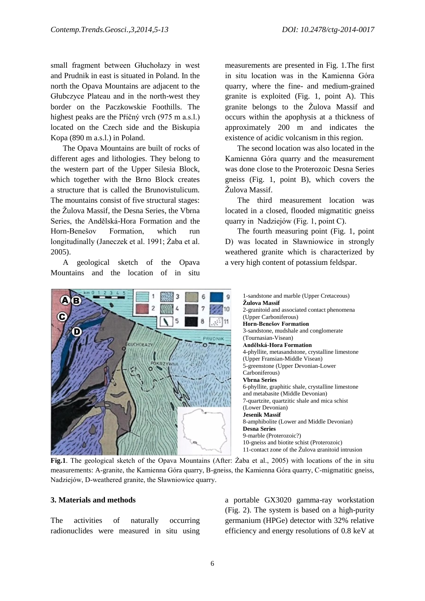small fragment between Głuchołazy in west and Prudnik in east is situated in Poland. In the north the Opava Mountains are adjacent to the Głubczyce Plateau and in the north-west they border on the Paczkowskie Foothills. The highest peaks are the Příčný vrch (975 m a.s.l.) located on the Czech side and the Biskupia Kopa (890 m a.s.l.) in Poland.

The Opava Mountains are built of rocks of different ages and lithologies. They belong to the western part of the Upper Silesia Block, which together with the Brno Block creates a structure that is called the Brunovistulicum. The mountains consist of five structural stages: the Žulova Massif, the Desna Series, the Vbrna Series, the Andělská-Hora Formation and the Horn-Benešov Formation, which run longitudinally (Janeczek et al. 1991; Żaba et al. 2005).

A geological sketch of the Opava Mountains and the location of in situ

measurements are presented in Fig. 1.The first in situ location was in the Kamienna Góra quarry, where the fine- and medium-grained granite is exploited (Fig. 1, point A). This granite belongs to the Žulova Massif and occurs within the apophysis at a thickness of approximately 200 m and indicates the existence of acidic volcanism in this region.

The second location was also located in the Kamienna Góra quarry and the measurement was done close to the Proterozoic Desna Series gneiss (Fig. 1, point B), which covers the Žulova Massif.

The third measurement location was located in a closed, flooded migmatitic gneiss quarry in Nadziejów (Fig. 1, point C).

The fourth measuring point (Fig. 1, point D) was located in Sławniowice in strongly weathered granite which is characterized by a very high content of potassium feldspar.



1-sandstone and marble (Upper Cretaceous) **Žulova Massif** 2-granitoid and associated contact phenomena (Upper Carboniferous) **Horn-Benešov Formation** 3-sandstone, mudshale and conglomerate (Tournasian-Visean) **Andělská-Hora Formation** 4-phyllite, metasandstone, crystalline limestone (Upper Fransian-Middle Visean) 5-greenstone (Upper Devonian-Lower Carboniferous) **Vbrna Series** 6-phyllite, graphitic shale, crystalline limestone and metabasite (Middle Devonian) 7-quartzite, quartzitic shale and mica schist (Lower Devonian) **Jesenik Massif** 8-amphibolite (Lower and Middle Devonian) **Desna Series** 9-marble (Proterozoic?) 10-gneiss and biotite schist (Proterozoic) 11-contact zone of the Žulova granitoid intrusion

**Fig.1**. The geological sketch of the Opava Mountains (After: Żaba et al., 2005) with locations of the in situ measurements: A-granite, the Kamienna Góra quarry, B-gneiss, the Kamienna Góra quarry, C-migmatitic gneiss, Nadziejów, D-weathered granite, the Sławniowice quarry.

## **3. Materials and methods**

The activities of naturally occurring radionuclides were measured in situ using a portable GX3020 gamma-ray workstation (Fig. 2). The system is based on a high-purity germanium (HPGe) detector with 32% relative efficiency and energy resolutions of 0.8 keV at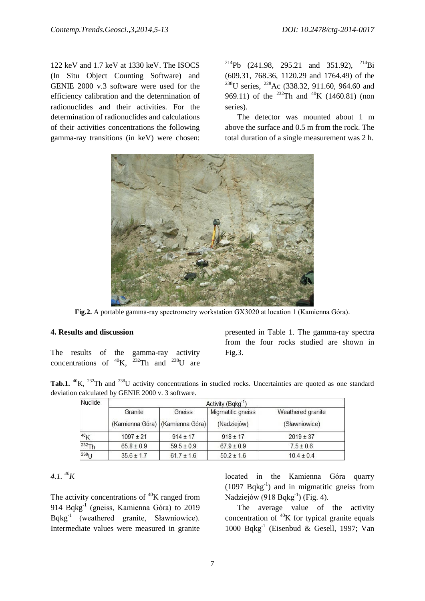122 keV and 1.7 keV at 1330 keV. The ISOCS (In Situ Object Counting Software) and GENIE 2000 v.3 software were used for the efficiency calibration and the determination of radionuclides and their activities. For the determination of radionuclides and calculations of their activities concentrations the following gamma-ray transitions (in keV) were chosen:

<sup>214</sup>Pb (241.98, 295.21 and 351.92), <sup>214</sup>Bi (609.31, 768.36, 1120.29 and 1764.49) of the <sup>238</sup>U series, <sup>228</sup>Ac (338.32, 911.60, 964.60 and 969.11) of the <sup>232</sup>Th and <sup>40</sup>K (1460.81) (non series).

The detector was mounted about 1 m above the surface and 0.5 m from the rock. The total duration of a single measurement was 2 h.



**Fig.2.** A portable gamma-ray spectrometry workstation GX3020 at location 1 (Kamienna Góra).

#### **4. Results and discussion**

The results of the gamma-ray activity concentrations of  $^{40}K$ ,  $^{232}Th$  and  $^{238}U$  are presented in Table 1. The gamma-ray spectra from the four rocks studied are shown in Fig.3.

**Tab.1.** <sup>40</sup>K, <sup>232</sup>Th and <sup>238</sup>U activity concentrations in studied rocks. Uncertainties are quoted as one standard deviation calculated by GENIE 2000 v. 3 software.

| Nuclide          | Activity (Bqkg <sup>-1</sup> )             |                |                                  |                                    |  |
|------------------|--------------------------------------------|----------------|----------------------------------|------------------------------------|--|
|                  | Granite<br>(Kamienna Góra) (Kamienna Góra) | Gneiss         | Migmatitic gneiss<br>(Nadziejów) | Weathered granite<br>(Sławniowice) |  |
| 40 <sub>K</sub>  | $1097 + 21$                                | $914 \pm 17$   | $918 \pm 17$                     | $2019 \pm 37$                      |  |
| $232$ Th         | $65.8 \pm 0.9$                             | $59.5 + 0.9$   | $67.9 \pm 0.9$                   | $7.5 \pm 0.6$                      |  |
| 238 <sub>U</sub> | $35.6 \pm 1.7$                             | $61.7 \pm 1.6$ | $50.2 \pm 1.6$                   | $10.4 \pm 0.4$                     |  |

# $4.1. \ ^{40}K$

The activity concentrations of  ${}^{40}$ K ranged from 914 Bqkg<sup>-1</sup> (gneiss, Kamienna Góra) to 2019 Bqkg-1 (weathered granite, Sławniowice). Intermediate values were measured in granite located in the Kamienna Góra quarry  $(1097 \text{ Bqkg}^{-1})$  and in migmatitic gneiss from Nadziejów (918 Bqkg<sup>-1</sup>) (Fig. 4).

The average value of the activity concentration of  $40K$  for typical granite equals 1000 Bqkg-1 (Eisenbud & Gesell, 1997; Van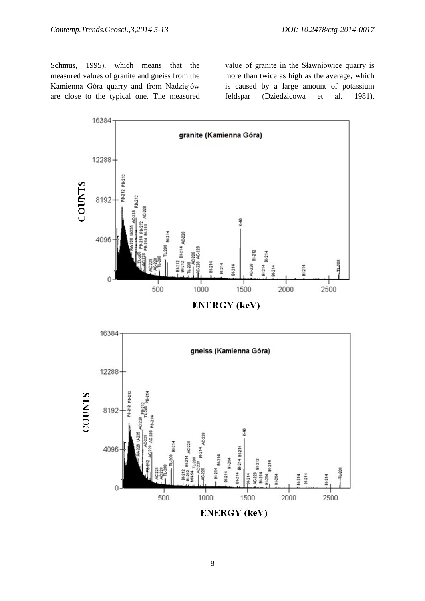Schmus, 1995), which means that the measured values of granite and gneiss from the Kamienna Góra quarry and from Nadziejów are close to the typical one. The measured value of granite in the Sławniowice quarry is more than twice as high as the average, which is caused by a large amount of potassium feldspar (Dziedzicowa et al. 1981).



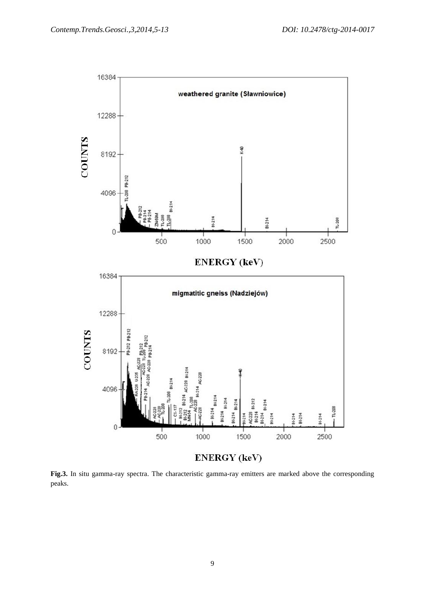

**Fig.3.** In situ gamma-ray spectra. The characteristic gamma-ray emitters are marked above the corresponding peaks.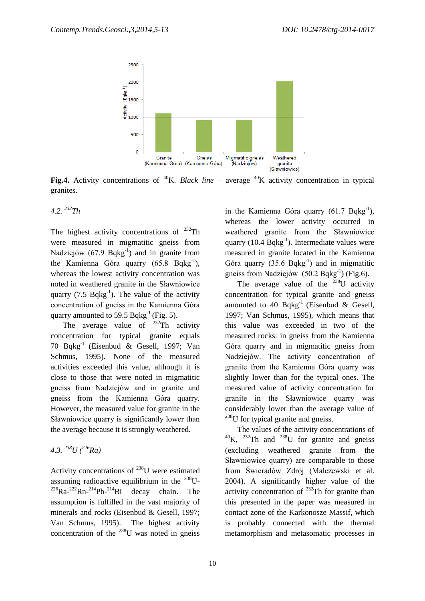

**Fig.4.** Activity concentrations of <sup>40</sup>K. *Black line* – average <sup>40</sup>K activity concentration in typical granites.

## *4.2. <sup>232</sup>Th*

The highest activity concentrations of  $^{232}$ Th were measured in migmatitic gneiss from Nadziejów (67.9 Bqkg<sup>-1</sup>) and in granite from the Kamienna Góra quarry (65.8 Bqkg<sup>-1</sup>), whereas the lowest activity concentration was noted in weathered granite in the Sławniowice quarry (7.5  $Bqkg^{-1}$ ). The value of the activity concentration of gneiss in the Kamienna Góra quarry amounted to 59.5 Bqkg<sup>-1</sup> (Fig. 5).

The average value of  $^{232}$ Th activity concentration for typical granite equals 70 Bqkg-1 (Eisenbud & Gesell, 1997; Van Schmus, 1995). None of the measured activities exceeded this value, although it is close to those that were noted in migmatitic gneiss from Nadziejów and in granite and gneiss from the Kamienna Góra quarry. However, the measured value for granite in the Sławniowice quarry is significantly lower than the average because it is strongly weathered.

4.3. 
$$
^{238}U(^{226}Ra)
$$

Activity concentrations of  $^{238}$ U were estimated assuming radioactive equilibrium in the  $^{238}$ U- ${}^{226}$ Ra- ${}^{222}$ Rn- ${}^{214}$ Pb- ${}^{214}$ Bi decay chain. The assumption is fulfilled in the vast majority of minerals and rocks (Eisenbud & Gesell, 1997; Van Schmus, 1995). The highest activity concentration of the  $^{238}$ U was noted in gneiss in the Kamienna Góra quarry (61.7 Bqkg<sup>-1</sup>), whereas the lower activity occurred in weathered granite from the Sławniowice quarry  $(10.4 \text{ Bqkg}^{-1})$ . Intermediate values were measured in granite located in the Kamienna Góra quarry  $(35.6 \text{ Bqkg}^{-1})$  and in migmatitic gneiss from Nadziejów (50.2 Bqkg<sup>-1</sup>) (Fig.6).

The average value of the  $^{238}$ U activity concentration for typical granite and gneiss amounted to 40 Bqkg<sup>-1</sup> (Eisenbud & Gesell, 1997; Van Schmus, 1995), which means that this value was exceeded in two of the measured rocks: in gneiss from the Kamienna Góra quarry and in migmatitic gneiss from Nadziejów. The activity concentration of granite from the Kamienna Góra quarry was slightly lower than for the typical ones. The measured value of activity concentration for granite in the Sławniowice quarry was considerably lower than the average value of  $^{238}$ U for typical granite and gneiss.

The values of the activity concentrations of  $^{40}$ K. <sup>232</sup>Th and <sup>238</sup>U for granite and gneiss (excluding weathered granite from the Sławniowice quarry) are comparable to those from Świeradów Zdrój (Malczewski et al. 2004). A significantly higher value of the activity concentration of  $^{232}$ Th for granite than this presented in the paper was measured in contact zone of the Karkonosze Massif, which is probably connected with the thermal metamorphism and metasomatic processes in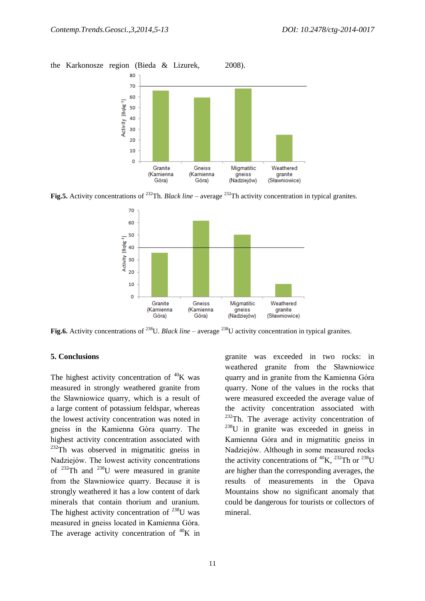the Karkonosze region (Bieda & Lizurek, 2008).



**Fig.5.** Activity concentrations of <sup>232</sup>Th. *Black line* – average <sup>232</sup>Th activity concentration in typical granites.



**Fig.6.** Activity concentrations of <sup>238</sup>U. *Black line* – average <sup>238</sup>U activity concentration in typical granites.

## **5. Conclusions**

The highest activity concentration of  ${}^{40}$ K was measured in strongly weathered granite from the Sławniowice quarry, which is a result of a large content of potassium feldspar, whereas the lowest activity concentration was noted in gneiss in the Kamienna Góra quarry. The highest activity concentration associated with  $232$ Th was observed in migmatitic gneiss in Nadziejów. The lowest activity concentrations of <sup>232</sup>Th and <sup>238</sup>U were measured in granite from the Sławniowice quarry. Because it is strongly weathered it has a low content of dark minerals that contain thorium and uranium. The highest activity concentration of  $^{238}$ U was measured in gneiss located in Kamienna Góra. The average activity concentration of  ${}^{40}$ K in

granite was exceeded in two rocks: in weathered granite from the Sławniowice quarry and in granite from the Kamienna Góra quarry. None of the values in the rocks that were measured exceeded the average value of the activity concentration associated with  $232$ Th. The average activity concentration of  $238$ U in granite was exceeded in gneiss in Kamienna Góra and in migmatitic gneiss in Nadziejów. Although in some measured rocks the activity concentrations of  ${}^{40}$ K,  ${}^{232}$ Th or  ${}^{238}$ U are higher than the corresponding averages, the results of measurements in the Opava Mountains show no significant anomaly that could be dangerous for tourists or collectors of mineral.